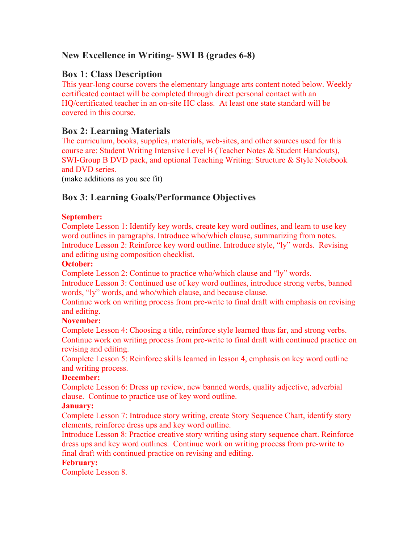# **New Excellence in Writing- SWI B (grades 6-8)**

## **Box 1: Class Description**

This year-long course covers the elementary language arts content noted below. Weekly certificated contact will be completed through direct personal contact with an HQ/certificated teacher in an on-site HC class. At least one state standard will be covered in this course.

# **Box 2: Learning Materials**

The curriculum, books, supplies, materials, web-sites, and other sources used for this course are: Student Writing Intensive Level B (Teacher Notes & Student Handouts), SWI-Group B DVD pack, and optional Teaching Writing: Structure & Style Notebook and DVD series.

(make additions as you see fit)

# **Box 3: Learning Goals/Performance Objectives**

#### **September:**

Complete Lesson 1: Identify key words, create key word outlines, and learn to use key word outlines in paragraphs. Introduce who/which clause, summarizing from notes. Introduce Lesson 2: Reinforce key word outline. Introduce style, "ly" words. Revising and editing using composition checklist.

#### **October:**

Complete Lesson 2: Continue to practice who/which clause and "ly" words.

Introduce Lesson 3: Continued use of key word outlines, introduce strong verbs, banned words, "ly" words, and who/which clause, and because clause.

Continue work on writing process from pre-write to final draft with emphasis on revising and editing.

#### **November:**

Complete Lesson 4: Choosing a title, reinforce style learned thus far, and strong verbs. Continue work on writing process from pre-write to final draft with continued practice on revising and editing.

Complete Lesson 5: Reinforce skills learned in lesson 4, emphasis on key word outline and writing process.

#### **December:**

Complete Lesson 6: Dress up review, new banned words, quality adjective, adverbial clause. Continue to practice use of key word outline.

#### **January:**

Complete Lesson 7: Introduce story writing, create Story Sequence Chart, identify story elements, reinforce dress ups and key word outline.

Introduce Lesson 8: Practice creative story writing using story sequence chart. Reinforce dress ups and key word outlines. Continue work on writing process from pre-write to final draft with continued practice on revising and editing.

#### **February:**

Complete Lesson 8.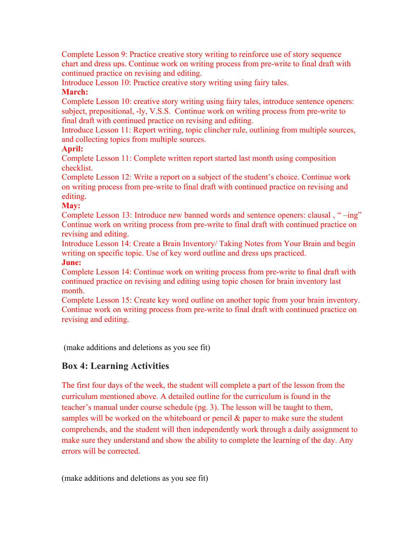Complete Lesson 9: Practice creative story writing to reinforce use of story sequence chart and dress ups. Continue work on writing process from pre-write to final draft with continued practice on revising and editing.

Introduce Lesson 10: Practice creative story writing using fairy tales. **March:**

Complete Lesson 10: creative story writing using fairy tales, introduce sentence openers: subject, prepositional, -ly, V.S.S. Continue work on writing process from pre-write to final draft with continued practice on revising and editing.

Introduce Lesson 11: Report writing, topic clincher rule, outlining from multiple sources, and collecting topics from multiple sources.

## **April:**

Complete Lesson 11: Complete written report started last month using composition checklist.

Complete Lesson 12: Write a report on a subject of the student's choice. Continue work on writing process from pre-write to final draft with continued practice on revising and editing.

### **May:**

Complete Lesson 13: Introduce new banned words and sentence openers: clausal , " –ing" Continue work on writing process from pre-write to final draft with continued practice on revising and editing.

Introduce Lesson 14: Create a Brain Inventory/ Taking Notes from Your Brain and begin writing on specific topic. Use of key word outline and dress ups practiced.

### **June:**

Complete Lesson 14: Continue work on writing process from pre-write to final draft with continued practice on revising and editing using topic chosen for brain inventory last month.

Complete Lesson 15: Create key word outline on another topic from your brain inventory. Continue work on writing process from pre-write to final draft with continued practice on revising and editing.

(make additions and deletions as you see fit)

# **Box 4: Learning Activities**

The first four days of the week, the student will complete a part of the lesson from the curriculum mentioned above. A detailed outline for the curriculum is found in the teacher's manual under course schedule (pg. 3). The lesson will be taught to them, samples will be worked on the whiteboard or pencil & paper to make sure the student comprehends, and the student will then independently work through a daily assignment to make sure they understand and show the ability to complete the learning of the day. Any errors will be corrected.

(make additions and deletions as you see fit)